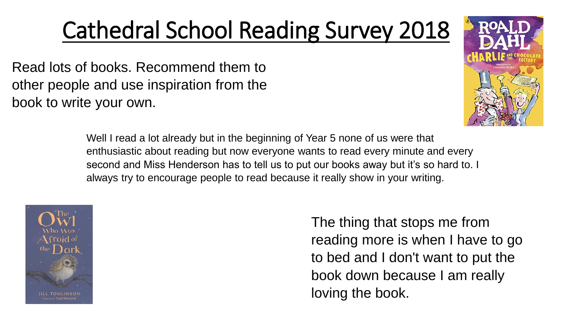## Cathedral School Reading Survey 2018

Read lots of books. Recommend them to other people and use inspiration from the book to write your own.





The thing that stops me from reading more is when I have to go to bed and I don't want to put the book down because I am really loving the book.

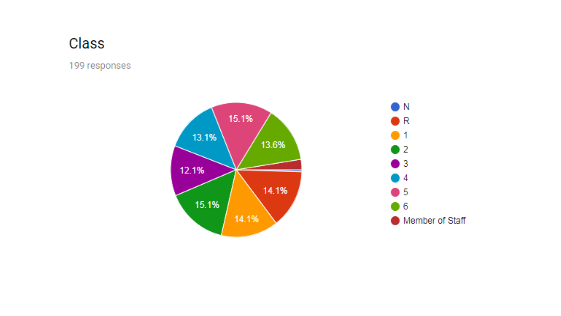#### Class

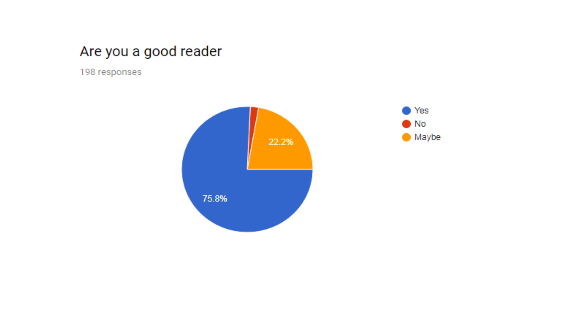#### Are you a good reader



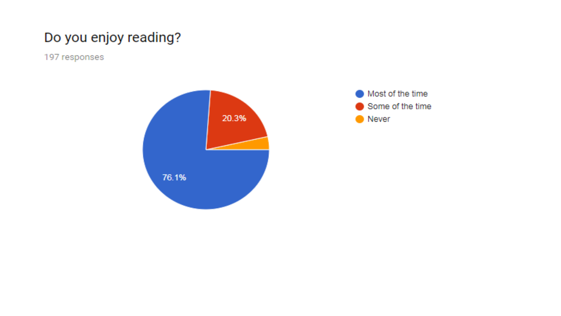#### Do you enjoy reading?



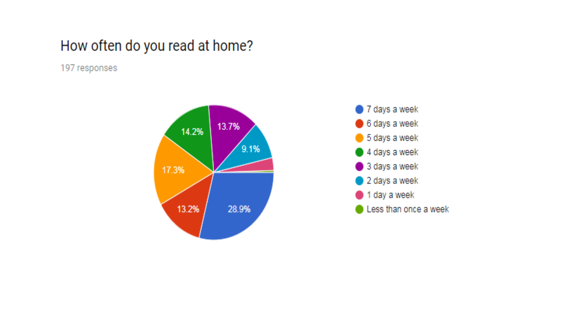#### How often do you read at home?



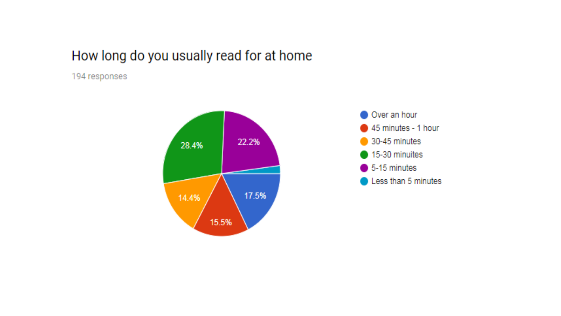#### How long do you usually read for at home



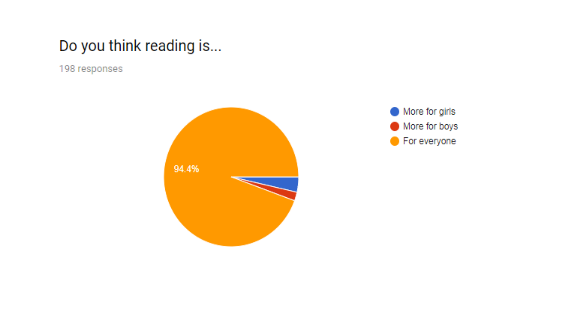#### Do you think reading is...



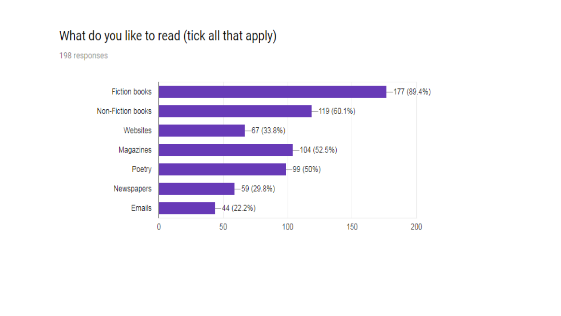#### What do you like to read (tick all that apply)

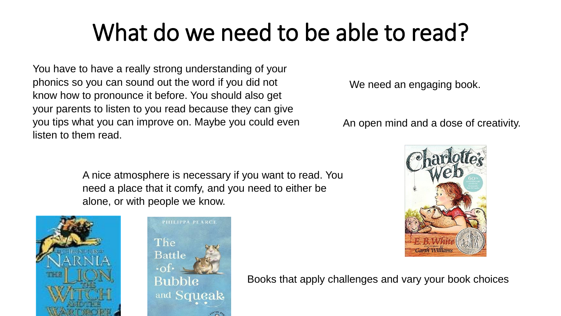### What do we need to be able to read?

You have to have a really strong understanding of your phonics so you can sound out the word if you did not know how to pronounce it before. You should also get your parents to listen to you read because they can give you tips what you can improve on. Maybe you could even listen to them read.

We need an engaging book.

An open mind and a dose of creativity.

A nice atmosphere is necessary if you want to read. You need a place that it comfy, and you need to either be alone, or with people we know.





Books that apply challenges and vary your book choices

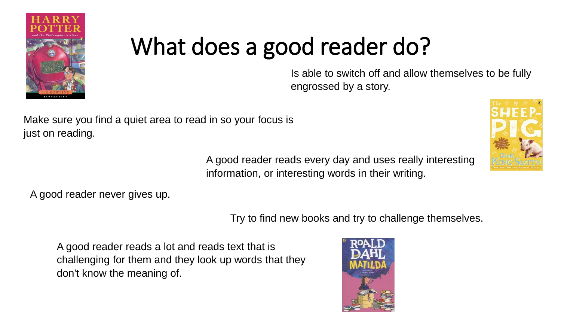

# What does a good reader do?

Is able to switch off and allow themselves to be fully engrossed by a story.

Make sure you find a quiet area to read in so your focus is just on reading.

> A good reader reads every day and uses really interesting information, or interesting words in their writing.



A good reader never gives up.

Try to find new books and try to challenge themselves.

A good reader reads a lot and reads text that is challenging for them and they look up words that they don't know the meaning of.

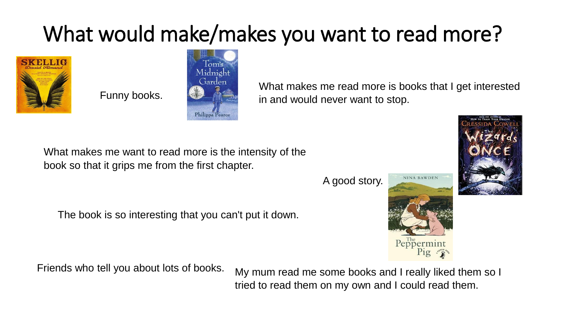### What would make/makes you want to read more?



Funny books.



What makes me read more is books that I get interested in and would never want to stop.

What makes me want to read more is the intensity of the book so that it grips me from the first chapter.

The book is so interesting that you can't put it down.

Friends who tell you about lots of books.

My mum read me some books and I really liked them so I tried to read them on my own and I could read them.

A good story.





**NINA BAWDEN**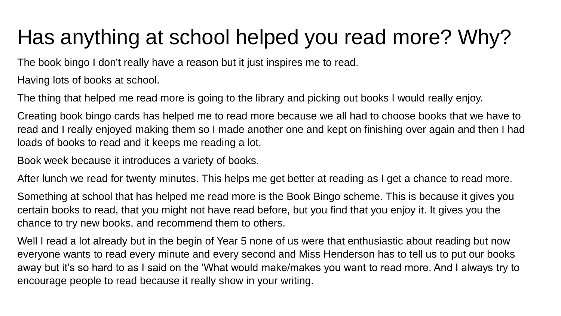### Has anything at school helped you read more? Why?

The book bingo I don't really have a reason but it just inspires me to read.

Having lots of books at school.

The thing that helped me read more is going to the library and picking out books I would really enjoy.

Creating book bingo cards has helped me to read more because we all had to choose books that we have to read and I really enjoyed making them so I made another one and kept on finishing over again and then I had loads of books to read and it keeps me reading a lot.

Book week because it introduces a variety of books.

After lunch we read for twenty minutes. This helps me get better at reading as I get a chance to read more.

Something at school that has helped me read more is the Book Bingo scheme. This is because it gives you certain books to read, that you might not have read before, but you find that you enjoy it. It gives you the chance to try new books, and recommend them to others.

Well I read a lot already but in the begin of Year 5 none of us were that enthusiastic about reading but now everyone wants to read every minute and every second and Miss Henderson has to tell us to put our books away but it's so hard to as I said on the 'What would make/makes you want to read more. And I always try to encourage people to read because it really show in your writing.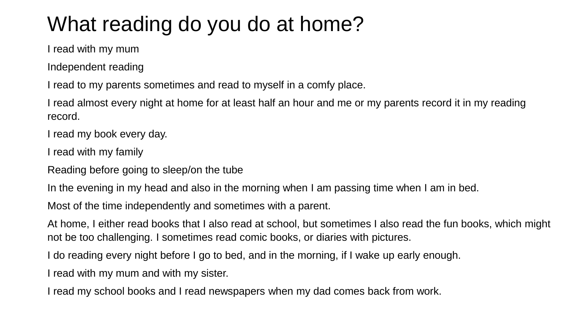### What reading do you do at home?

I read with my mum

Independent reading

I read to my parents sometimes and read to myself in a comfy place.

I read almost every night at home for at least half an hour and me or my parents record it in my reading record.

I read my book every day.

I read with my family

Reading before going to sleep/on the tube

In the evening in my head and also in the morning when I am passing time when I am in bed.

Most of the time independently and sometimes with a parent.

At home, I either read books that I also read at school, but sometimes I also read the fun books, which might not be too challenging. I sometimes read comic books, or diaries with pictures.

I do reading every night before I go to bed, and in the morning, if I wake up early enough.

I read with my mum and with my sister.

I read my school books and I read newspapers when my dad comes back from work.